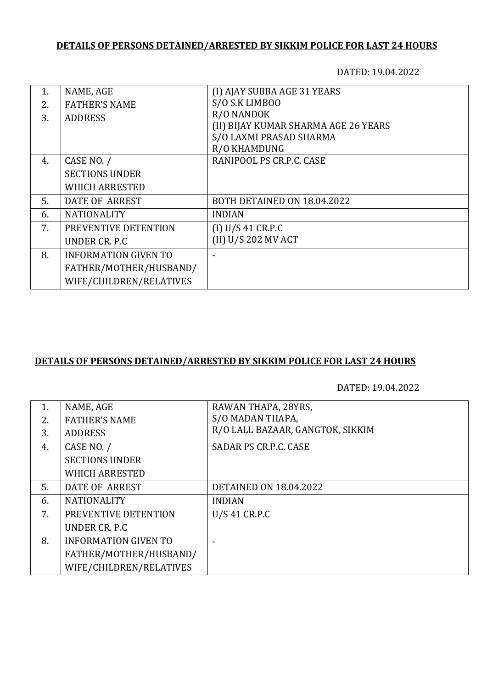## **DETAILS OF PERSONS DETAINED/ARRESTED BY SIKKIM POLICE FOR LAST 24 HOURS**

DATED: 19.04.2022

| NAME, AGE                   | (I) AJAY SUBBA AGE 31 YEARS          |
|-----------------------------|--------------------------------------|
| <b>FATHER'S NAME</b>        | S/O S.K LIMBOO                       |
| <b>ADDRESS</b>              | R/O NANDOK                           |
|                             | (II) BIJAY KUMAR SHARMA AGE 26 YEARS |
|                             | S/O LAXMI PRASAD SHARMA              |
|                             | R/O KHAMDUNG                         |
| CASE NO. /                  | RANIPOOL PS CR.P.C. CASE             |
| <b>SECTIONS UNDER</b>       |                                      |
| <b>WHICH ARRESTED</b>       |                                      |
| DATE OF ARREST              | BOTH DETAINED ON 18.04.2022          |
| <b>NATIONALITY</b>          | <b>INDIAN</b>                        |
| PREVENTIVE DETENTION        | (I) U/S 41 CR.P.C                    |
| UNDER CR. P.C.              | (II) U/S 202 MV ACT                  |
| <b>INFORMATION GIVEN TO</b> |                                      |
| FATHER/MOTHER/HUSBAND/      |                                      |
| WIFE/CHILDREN/RELATIVES     |                                      |
|                             |                                      |

## **DETAILS OF PERSONS DETAINED/ARRESTED BY SIKKIM POLICE FOR LAST 24 HOURS**

DATED: 19.04.2022

| 1. | NAME, AGE                   | RAWAN THAPA, 28YRS,              |
|----|-----------------------------|----------------------------------|
| 2. | <b>FATHER'S NAME</b>        | S/O MADAN THAPA,                 |
| 3. | <b>ADDRESS</b>              | R/O LALL BAZAAR, GANGTOK, SIKKIM |
| 4. | CASE NO. /                  | SADAR PS CR.P.C. CASE            |
|    | <b>SECTIONS UNDER</b>       |                                  |
|    | <b>WHICH ARRESTED</b>       |                                  |
| 5. | DATE OF ARREST              | <b>DETAINED ON 18.04.2022</b>    |
| 6. | <b>NATIONALITY</b>          | <b>INDIAN</b>                    |
| 7. | PREVENTIVE DETENTION        | U/S 41 CR.P.C                    |
|    | UNDER CR. P.C.              |                                  |
| 8. | <b>INFORMATION GIVEN TO</b> |                                  |
|    | FATHER/MOTHER/HUSBAND/      |                                  |
|    | WIFE/CHILDREN/RELATIVES     |                                  |